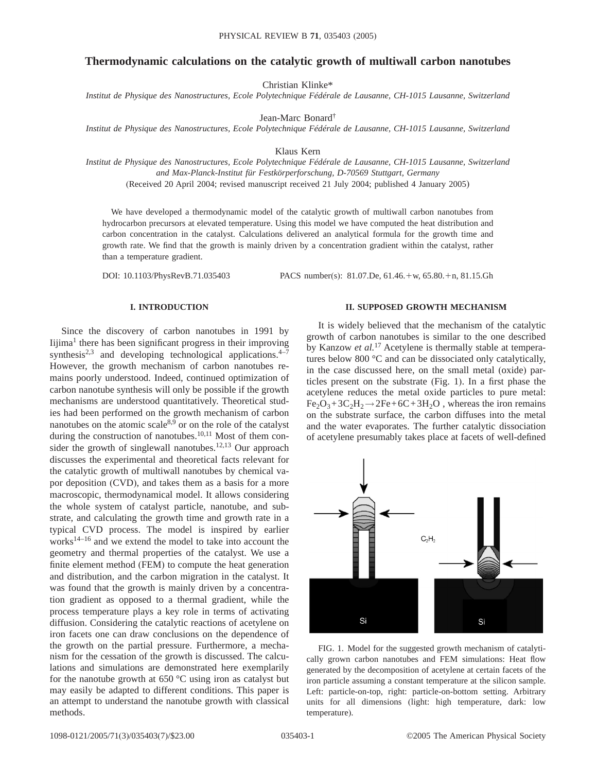# **Thermodynamic calculations on the catalytic growth of multiwall carbon nanotubes**

Christian Klinke\*

*Institut de Physique des Nanostructures, Ecole Polytechnique Fédérale de Lausanne, CH-1015 Lausanne, Switzerland*

Jean-Marc Bonard†

*Institut de Physique des Nanostructures, Ecole Polytechnique Fédérale de Lausanne, CH-1015 Lausanne, Switzerland*

Klaus Kern

*Institut de Physique des Nanostructures, Ecole Polytechnique Fédérale de Lausanne, CH-1015 Lausanne, Switzerland and Max-Planck-Institut für Festkörperforschung, D-70569 Stuttgart, Germany* (Received 20 April 2004; revised manuscript received 21 July 2004; published 4 January 2005)

We have developed a thermodynamic model of the catalytic growth of multiwall carbon nanotubes from hydrocarbon precursors at elevated temperature. Using this model we have computed the heat distribution and carbon concentration in the catalyst. Calculations delivered an analytical formula for the growth time and growth rate. We find that the growth is mainly driven by a concentration gradient within the catalyst, rather than a temperature gradient.

DOI: 10.1103/PhysRevB.71.035403 PACS number(s): 81.07.De, 61.46.+w, 65.80.+n, 81.15.Gh

## **I. INTRODUCTION**

Since the discovery of carbon nanotubes in 1991 by  $Iijima<sup>1</sup>$  there has been significant progress in their improving synthesis<sup>2,3</sup> and developing technological applications.<sup>4-7</sup> However, the growth mechanism of carbon nanotubes remains poorly understood. Indeed, continued optimization of carbon nanotube synthesis will only be possible if the growth mechanisms are understood quantitatively. Theoretical studies had been performed on the growth mechanism of carbon nanotubes on the atomic scale $8.9$  or on the role of the catalyst during the construction of nanotubes.<sup>10,11</sup> Most of them consider the growth of singlewall nanotubes.<sup>12,13</sup> Our approach discusses the experimental and theoretical facts relevant for the catalytic growth of multiwall nanotubes by chemical vapor deposition (CVD), and takes them as a basis for a more macroscopic, thermodynamical model. It allows considering the whole system of catalyst particle, nanotube, and substrate, and calculating the growth time and growth rate in a typical CVD process. The model is inspired by earlier works14–16 and we extend the model to take into account the geometry and thermal properties of the catalyst. We use a finite element method (FEM) to compute the heat generation and distribution, and the carbon migration in the catalyst. It was found that the growth is mainly driven by a concentration gradient as opposed to a thermal gradient, while the process temperature plays a key role in terms of activating diffusion. Considering the catalytic reactions of acetylene on iron facets one can draw conclusions on the dependence of the growth on the partial pressure. Furthermore, a mechanism for the cessation of the growth is discussed. The calculations and simulations are demonstrated here exemplarily for the nanotube growth at 650 °C using iron as catalyst but may easily be adapted to different conditions. This paper is an attempt to understand the nanotube growth with classical methods.

## **II. SUPPOSED GROWTH MECHANISM**

It is widely believed that the mechanism of the catalytic growth of carbon nanotubes is similar to the one described by Kanzow *et al.*<sup>17</sup> Acetylene is thermally stable at temperatures below 800 °C and can be dissociated only catalytically, in the case discussed here, on the small metal (oxide) particles present on the substrate (Fig. 1). In a first phase the acetylene reduces the metal oxide particles to pure metal:  $Fe_2O_3+3C_2H_2 \rightarrow 2Fe+6C+3H_2O$ , whereas the iron remains on the substrate surface, the carbon diffuses into the metal and the water evaporates. The further catalytic dissociation of acetylene presumably takes place at facets of well-defined



FIG. 1. Model for the suggested growth mechanism of catalytically grown carbon nanotubes and FEM simulations: Heat flow generated by the decomposition of acetylene at certain facets of the iron particle assuming a constant temperature at the silicon sample. Left: particle-on-top, right: particle-on-bottom setting. Arbitrary units for all dimensions (light: high temperature, dark: low temperature).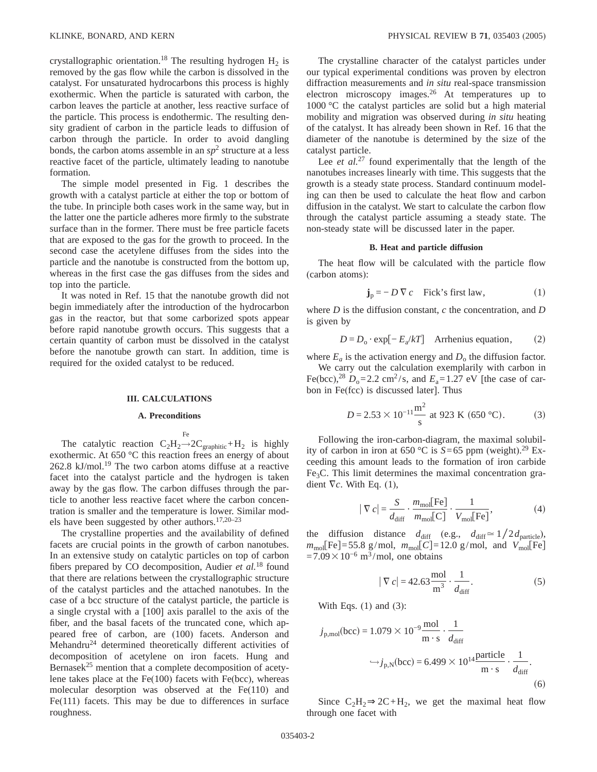crystallographic orientation.<sup>18</sup> The resulting hydrogen  $H_2$  is removed by the gas flow while the carbon is dissolved in the catalyst. For unsaturated hydrocarbons this process is highly exothermic. When the particle is saturated with carbon, the carbon leaves the particle at another, less reactive surface of the particle. This process is endothermic. The resulting density gradient of carbon in the particle leads to diffusion of carbon through the particle. In order to avoid dangling bonds, the carbon atoms assemble in an  $sp<sup>2</sup>$  structure at a less reactive facet of the particle, ultimately leading to nanotube formation.

The simple model presented in Fig. 1 describes the growth with a catalyst particle at either the top or bottom of the tube. In principle both cases work in the same way, but in the latter one the particle adheres more firmly to the substrate surface than in the former. There must be free particle facets that are exposed to the gas for the growth to proceed. In the second case the acetylene diffuses from the sides into the particle and the nanotube is constructed from the bottom up, whereas in the first case the gas diffuses from the sides and top into the particle.

It was noted in Ref. 15 that the nanotube growth did not begin immediately after the introduction of the hydrocarbon gas in the reactor, but that some carborized spots appear before rapid nanotube growth occurs. This suggests that a certain quantity of carbon must be dissolved in the catalyst before the nanotube growth can start. In addition, time is required for the oxided catalyst to be reduced.

#### **III. CALCULATIONS**

### **A. Preconditions**

Fe

The catalytic reaction  $C_2H_2 \rightarrow 2C_{\text{graphitic}} + H_2$  is highly exothermic. At 650 °C this reaction frees an energy of about  $262.8$  kJ/mol.<sup>19</sup> The two carbon atoms diffuse at a reactive facet into the catalyst particle and the hydrogen is taken away by the gas flow. The carbon diffuses through the particle to another less reactive facet where the carbon concentration is smaller and the temperature is lower. Similar models have been suggested by other authors.<sup>17,20–23</sup>

The crystalline properties and the availability of defined facets are crucial points in the growth of carbon nanotubes. In an extensive study on catalytic particles on top of carbon fibers prepared by CO decomposition, Audier *et al.*<sup>18</sup> found that there are relations between the crystallographic structure of the catalyst particles and the attached nanotubes. In the case of a bcc structure of the catalyst particle, the particle is a single crystal with a [100] axis parallel to the axis of the fiber, and the basal facets of the truncated cone, which appeared free of carbon, are (100) facets. Anderson and Mehandru<sup>24</sup> determined theoretically different activities of decomposition of acetylene on iron facets. Hung and Bernasek<sup>25</sup> mention that a complete decomposition of acetylene takes place at the Fe(100) facets with Fe(bcc), whereas molecular desorption was observed at the Fe(110) and  $Fe(111)$  facets. This may be due to differences in surface roughness.

The crystalline character of the catalyst particles under our typical experimental conditions was proven by electron diffraction measurements and *in situ* real-space transmission electron microscopy images.<sup>26</sup> At temperatures up to 1000 °C the catalyst particles are solid but a high material mobility and migration was observed during *in situ* heating of the catalyst. It has already been shown in Ref. 16 that the diameter of the nanotube is determined by the size of the catalyst particle.

Lee *et al.*<sup>27</sup> found experimentally that the length of the nanotubes increases linearly with time. This suggests that the growth is a steady state process. Standard continuum modeling can then be used to calculate the heat flow and carbon diffusion in the catalyst. We start to calculate the carbon flow through the catalyst particle assuming a steady state. The non-steady state will be discussed later in the paper.

### **B. Heat and particle diffusion**

The heat flow will be calculated with the particle flow (carbon atoms):

$$
\mathbf{j}_p = -D \nabla c \quad \text{Fick's first law,} \tag{1}
$$

where *D* is the diffusion constant, *c* the concentration, and *D* is given by

$$
D = D_0 \cdot \exp[-E_a/kT]
$$
 Arrhenius equation, (2)

where  $E_a$  is the activation energy and  $D_0$  the diffusion factor. We carry out the calculation exemplarily with carbon in

Fe(bcc),<sup>28</sup>  $D_0 = 2.2$  cm<sup>2</sup>/s, and  $E_a = 1.27$  eV [the case of carbon in Fe(fcc) is discussed later]. Thus

$$
D = 2.53 \times 10^{-11} \frac{\text{m}^2}{\text{s}} \text{ at } 923 \text{ K } (650 \text{ °C}). \tag{3}
$$

Following the iron-carbon-diagram, the maximal solubility of carbon in iron at 650 °C is *S*=65 ppm (weight). <sup>29</sup> Exceeding this amount leads to the formation of iron carbide Fe3C. This limit determines the maximal concentration gradient  $\nabla c$ . With Eq. (1),

$$
|\nabla c| = \frac{S}{d_{\text{diff}}} \cdot \frac{m_{\text{mol}}[\text{Fe}]}{m_{\text{mol}}[\text{C}]} \cdot \frac{1}{V_{\text{mol}}[\text{Fe}]},\tag{4}
$$

the diffusion distance  $d_{\text{diff}}$  (e.g.,  $d_{\text{diff}} \approx 1/2 d_{\text{particle}}$ ),  $m_{\text{mol}}[Fe] = 55.8 \text{ g/mol}, m_{\text{mol}}[C] = 12.0 \text{ g/mol}, \text{ and } V_{\text{mol}}[Fe]$  $=7.09\times10^{-6}$  m<sup>3</sup>/mol, one obtains

$$
|\nabla c| = 42.63 \frac{\text{mol}}{\text{m}^3} \cdot \frac{1}{d_{\text{diff}}}.
$$
 (5)

With Eqs.  $(1)$  and  $(3)$ :

$$
j_{p,\text{mol}}(\text{bcc}) = 1.079 \times 10^{-9} \frac{\text{mol}}{\text{m} \cdot \text{s}} \cdot \frac{1}{d_{\text{diff}}} \n\rightarrow j_{p,\text{N}}(\text{bcc}) = 6.499 \times 10^{14} \frac{\text{particle}}{\text{m} \cdot \text{s}} \cdot \frac{1}{d_{\text{diff}}}.
$$
\n(6)

Since  $C_2H_2 \Rightarrow 2C+H_2$ , we get the maximal heat flow through one facet with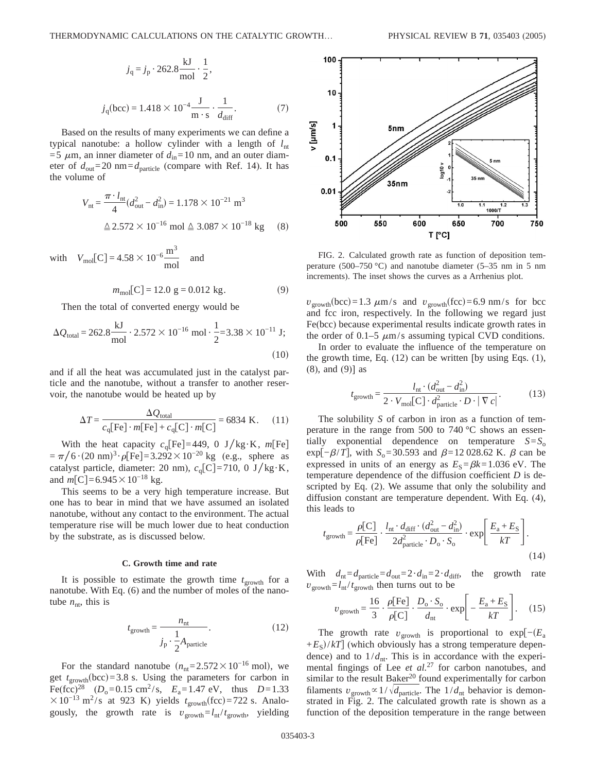$$
j_q = j_p \cdot 262.8 \frac{\text{kJ}}{\text{mol}} \cdot \frac{1}{2},
$$
  
 $j_q(\text{bcc}) = 1.418 \times 10^{-4} \frac{\text{J}}{\text{m} \cdot \text{s}} \cdot \frac{1}{d_{\text{diff}}}. \tag{7}$ 

Based on the results of many experiments we can define a typical nanotube: a hollow cylinder with a length of  $l_{nt}$ =5  $\mu$ m, an inner diameter of  $d_{in}=10$  nm, and an outer diameter of  $d_{\text{out}} = 20 \text{ nm} = d_{\text{particle}}$  (compare with Ref. 14). It has the volume of

$$
V_{\text{nt}} = \frac{\pi \cdot l_{\text{nt}}}{4} (d_{\text{out}}^2 - d_{\text{in}}^2) = 1.178 \times 10^{-21} \text{ m}^3
$$
  

$$
\triangle 2.572 \times 10^{-16} \text{ mol} \triangle 3.087 \times 10^{-18} \text{ kg}
$$
 (8)

with  $V_{\text{mol}}[C] = 4.58 \times 10^{-6} \frac{\text{m}^3}{\text{mol}}$ and

$$
m_{\text{mol}}[C] = 12.0 \text{ g} = 0.012 \text{ kg.}
$$
 (9)

Then the total of converted energy would be

$$
\Delta Q_{\text{total}} = 262.8 \frac{\text{kJ}}{\text{mol}} \cdot 2.572 \times 10^{-16} \text{ mol} \cdot \frac{1}{2} = 3.38 \times 10^{-11} \text{ J};
$$
\n(10)

and if all the heat was accumulated just in the catalyst particle and the nanotube, without a transfer to another reservoir, the nanotube would be heated up by

$$
\Delta T = \frac{\Delta Q_{\text{total}}}{c_{\text{q}}[\text{Fe}] \cdot m[\text{Fe}] + c_{\text{q}}[\text{C}] \cdot m[\text{C}]} = 6834 \text{ K.}
$$
 (11)

With the heat capacity  $c_0[Fe]=449$ , 0 J/kg·K,  $m[Fe]$  $= \pi / 6 \cdot (20 \text{ nm})^3 \cdot \rho[\text{Fe}] = 3.292 \times 10^{-20} \text{ kg}$  (e.g., sphere as catalyst particle, diameter: 20 nm),  $c_q[C]=710$ , 0 J/kg·K, and  $m[\text{C}]=6.945\times10^{-18}$  kg.

This seems to be a very high temperature increase. But one has to bear in mind that we have assumed an isolated nanotube, without any contact to the environment. The actual temperature rise will be much lower due to heat conduction by the substrate, as is discussed below.

#### **C. Growth time and rate**

It is possible to estimate the growth time  $t_{\text{growth}}$  for a nanotube. With Eq. (6) and the number of moles of the nanotube  $n_{nt}$ , this is

$$
t_{\text{growth}} = \frac{n_{\text{nt}}}{j_{\text{p}} \cdot \frac{1}{2} A_{\text{particle}}}
$$
 (12)

For the standard nanotube  $(n_{nt}=2.572\times10^{-16} \text{ mol})$ , we get  $t_{\text{growth}}(bcc)=3.8$  s. Using the parameters for carbon in Fe(fcc)<sup>28</sup> (*D*<sub>o</sub>=0.15 cm<sup>2</sup>/s,  $E_a$ =1.47 eV, thus *D*=1.33  $\times$ 10<sup>-13</sup> m<sup>2</sup>/s at 923 K) yields  $t_{\text{growth}}$ (fcc)=722 s. Analogously, the growth rate is  $v_{\text{growth}} = l_{\text{nt}}/t_{\text{growth}}$ , yielding



FIG. 2. Calculated growth rate as function of deposition temperature (500–750 °C) and nanotube diameter (5–35 nm in 5 nm increments). The inset shows the curves as a Arrhenius plot.

 $v_{\text{growth}}(\text{bcc})=1.3 \ \mu \text{m/s}$  and  $v_{\text{growth}}(\text{fcc})=6.9 \ \text{nm/s}$  for bcc and fcc iron, respectively. In the following we regard just Fe(bcc) because experimental results indicate growth rates in the order of 0.1–5  $\mu$ m/s assuming typical CVD conditions.

In order to evaluate the influence of the temperature on the growth time, Eq. (12) can be written [by using Eqs. (1), (8), and (9)] as

$$
t_{\text{growth}} = \frac{l_{\text{nt}} \cdot (d_{\text{out}}^2 - d_{\text{in}}^2)}{2 \cdot V_{\text{mol}}[C] \cdot d_{\text{particle}}^2 \cdot D \cdot |\nabla c|}.
$$
 (13)

The solubility *S* of carbon in iron as a function of temperature in the range from 500 to 740  $\degree$ C shows an essentially exponential dependence on temperature  $S = S_0$ exp[ $-β/T$ ], with *S*<sub>0</sub>=30.593 and *β*=12 028.62 K. *β* can be expressed in units of an energy as  $E_s = \beta k = 1.036$  eV. The temperature dependence of the diffusion coefficient *D* is descripted by Eq. (2). We assume that only the solubility and diffusion constant are temperature dependent. With Eq. (4), this leads to

$$
t_{\text{growth}} = \frac{\rho[\text{C}]}{\rho[\text{Fe}]} \cdot \frac{l_{\text{nt}} \cdot d_{\text{diff}} \cdot (d_{\text{out}}^2 - d_{\text{in}}^2)}{2d_{\text{particle}}^2 \cdot D_o \cdot S_o} \cdot \exp\left[\frac{E_a + E_S}{kT}\right].
$$
\n(14)

With  $d_{nt} = d_{particle} = d_{out} = 2 \cdot d_{in} = 2 \cdot d_{diff}$ , the growth rate  $v_{\text{growth}} = l_{\text{nt}}/t_{\text{growth}}$  then turns out to be

$$
v_{\text{growth}} = \frac{16}{3} \cdot \frac{\rho[\text{Fe}]}{\rho[\text{C}]} \cdot \frac{D_o \cdot S_o}{d_{\text{nt}}} \cdot \exp\left[-\frac{E_a + E_S}{kT}\right].
$$
 (15)

The growth rate  $v_{\text{growth}}$  is proportional to exp[ $-(E_a$  $+E<sub>S</sub>$ /*kT*] (which obviously has a strong temperature dependence) and to  $1/d_{\text{nt}}$ . This is in accordance with the experimental fingings of Lee *et al.*<sup>27</sup> for carbon nanotubes, and similar to the result Baker<sup>20</sup> found experimentally for carbon filaments  $v_{\text{growth}} \propto 1/\sqrt{d_{\text{particle}}}$ . The  $1/d_{\text{nt}}$  behavior is demonstrated in Fig. 2. The calculated growth rate is shown as a function of the deposition temperature in the range between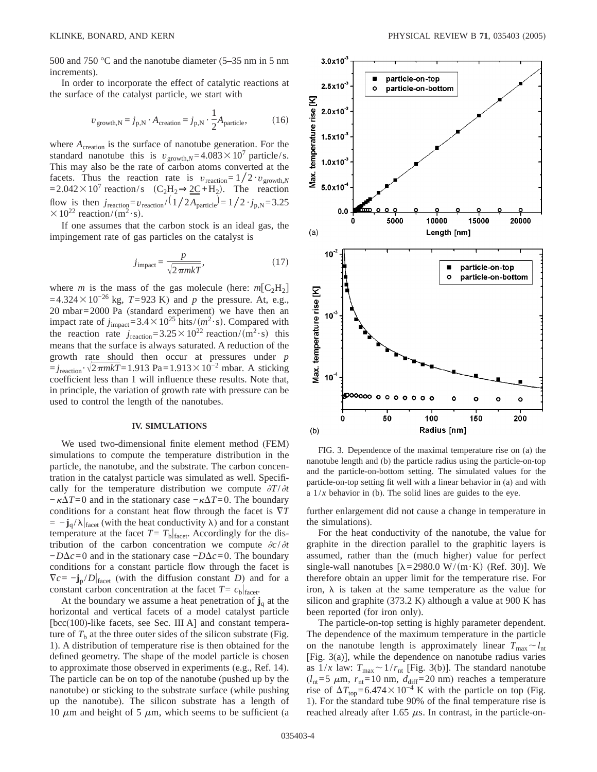500 and 750 °C and the nanotube diameter (5–35 nm in 5 nm increments).

In order to incorporate the effect of catalytic reactions at the surface of the catalyst particle, we start with

$$
v_{\text{growth,N}} = j_{\text{p,N}} \cdot A_{\text{creation}} = j_{\text{p,N}} \cdot \frac{1}{2} A_{\text{particle}},
$$
 (16)

where  $A_{\text{creation}}$  is the surface of nanotube generation. For the standard nanotube this is  $v_{\text{growth},N} = 4.083 \times 10^7$  particle/s. This may also be the rate of carbon atoms converted at the facets. Thus the reaction rate is  $v_{\text{reaction}} = 1 / 2 \cdot v_{\text{growth},N}$  $=2.042\times10^7$  reaction/s  $(C_2H_2\Rightarrow 2C+H_2)$ . The reaction flow is then  $j_{\text{reaction}} = v_{\text{reaction}} / (1/2A_{\text{particle}}) = 1/2 \cdot j_{\text{p,N}} = 3.25$  $\times 10^{22}$  reaction/(m<sup>2</sup>·s).

If one assumes that the carbon stock is an ideal gas, the impingement rate of gas particles on the catalyst is

$$
j_{\text{impact}} = \frac{p}{\sqrt{2\pi mkT}},\tag{17}
$$

where *m* is the mass of the gas molecule (here:  $m[C_2H_2]$  $=4.324\times10^{-26}$  kg, *T*=923 K) and *p* the pressure. At, e.g., 20 mbar=2000 Pa (standard experiment) we have then an impact rate of  $j_{\text{impact}} = 3.4 \times 10^{25}$  hits/ $(m^2 \cdot s)$ . Compared with the reaction rate  $j_{\text{reaction}} = 3.25 \times 10^{22} \text{ reaction} / (\text{m}^2 \cdot \text{s})$  this means that the surface is always saturated. A reduction of the growth rate should then occur at pressures under *p*  $=j_{\text{reaction}} \cdot \sqrt{2\pi m kT}$ =1.913 Pa=1.913×10<sup>-2</sup> mbar. A sticking coefficient less than 1 will influence these results. Note that, in principle, the variation of growth rate with pressure can be used to control the length of the nanotubes.

### **IV. SIMULATIONS**

We used two-dimensional finite element method (FEM) simulations to compute the temperature distribution in the particle, the nanotube, and the substrate. The carbon concentration in the catalyst particle was simulated as well. Specifically for the temperature distribution we compute  $\frac{\partial T}{\partial t}$ −kD*T*=0 and in the stationary case −kD*T*=0. The boundary conditions for a constant heat flow through the facet is  $\nabla T$  $=-\mathbf{j}_{q}/\lambda|_{\text{facet}}$  (with the heat conductivity  $\lambda$ ) and for a constant temperature at the facet  $T = T_b|_{\text{facer}}$ . Accordingly for the distribution of the carbon concentration we compute  $\partial c / \partial t$  $-D\Delta c=0$  and in the stationary case  $-D\Delta c=0$ . The boundary conditions for a constant particle flow through the facet is  $\nabla c = -\mathbf{j}_p / D|_{\text{facet}}$  (with the diffusion constant *D*) and for a constant carbon concentration at the facet  $T = c_b|_{\text{facet}}$ .

At the boundary we assume a heat penetration of  $\mathbf{j}_q$  at the horizontal and vertical facets of a model catalyst particle [bcc(100)-like facets, see Sec. III A] and constant temperature of  $T<sub>b</sub>$  at the three outer sides of the silicon substrate (Fig. 1). A distribution of temperature rise is then obtained for the defined geometry. The shape of the model particle is chosen to approximate those observed in experiments (e.g., Ref. 14). The particle can be on top of the nanotube (pushed up by the nanotube) or sticking to the substrate surface (while pushing up the nanotube). The silicon substrate has a length of 10  $\mu$ m and height of 5  $\mu$ m, which seems to be sufficient (a



FIG. 3. Dependence of the maximal temperature rise on (a) the nanotube length and (b) the particle radius using the particle-on-top and the particle-on-bottom setting. The simulated values for the particle-on-top setting fit well with a linear behavior in (a) and with a  $1/x$  behavior in (b). The solid lines are guides to the eye.

further enlargement did not cause a change in temperature in the simulations).

For the heat conductivity of the nanotube, the value for graphite in the direction parallel to the graphitic layers is assumed, rather than the (much higher) value for perfect single-wall nanotubes  $[\lambda = 2980.0 \text{ W/(m} \cdot \text{K})$  (Ref. 30)]. We therefore obtain an upper limit for the temperature rise. For iron,  $\lambda$  is taken at the same temperature as the value for silicon and graphite (373.2 K) although a value at 900 K has been reported (for iron only).

The particle-on-top setting is highly parameter dependent. The dependence of the maximum temperature in the particle on the nanotube length is approximately linear  $T_{\text{max}} \sim l_{\text{nt}}$ [Fig. 3(a)], while the dependence on nanotube radius varies as  $1/x$  law:  $T_{\text{max}} \sim 1/r_{\text{nt}}$  [Fig. 3(b)]. The standard nanotube  $(l_{\rm nt} = 5 \mu \text{m}, r_{\rm nt} = 10 \text{ nm}, d_{\rm diff} = 20 \text{ nm})$  reaches a temperature rise of  $\Delta T_{\text{top}}$ =6.474×10<sup>-4</sup> K with the particle on top (Fig. 1). For the standard tube 90% of the final temperature rise is reached already after 1.65  $\mu$ s. In contrast, in the particle-on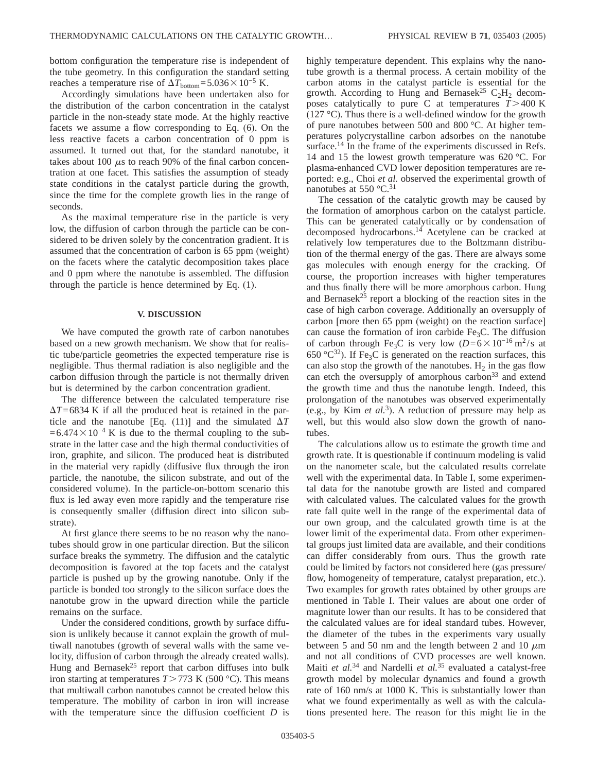bottom configuration the temperature rise is independent of the tube geometry. In this configuration the standard setting reaches a temperature rise of  $\Delta T_{\text{bottom}}$ =5.036×10<sup>-5</sup> K.

Accordingly simulations have been undertaken also for the distribution of the carbon concentration in the catalyst particle in the non-steady state mode. At the highly reactive facets we assume a flow corresponding to Eq. (6). On the less reactive facets a carbon concentration of 0 ppm is assumed. It turned out that, for the standard nanotube, it takes about 100  $\mu$ s to reach 90% of the final carbon concentration at one facet. This satisfies the assumption of steady state conditions in the catalyst particle during the growth, since the time for the complete growth lies in the range of seconds.

As the maximal temperature rise in the particle is very low, the diffusion of carbon through the particle can be considered to be driven solely by the concentration gradient. It is assumed that the concentration of carbon is 65 ppm (weight) on the facets where the catalytic decomposition takes place and 0 ppm where the nanotube is assembled. The diffusion through the particle is hence determined by Eq. (1).

### **V. DISCUSSION**

We have computed the growth rate of carbon nanotubes based on a new growth mechanism. We show that for realistic tube/particle geometries the expected temperature rise is negligible. Thus thermal radiation is also negligible and the carbon diffusion through the particle is not thermally driven but is determined by the carbon concentration gradient.

The difference between the calculated temperature rise  $\Delta T$ =6834 K if all the produced heat is retained in the particle and the nanotube [Eq. (11)] and the simulated  $\Delta T$  $=6.474\times10^{-4}$  K is due to the thermal coupling to the substrate in the latter case and the high thermal conductivities of iron, graphite, and silicon. The produced heat is distributed in the material very rapidly (diffusive flux through the iron particle, the nanotube, the silicon substrate, and out of the considered volume). In the particle-on-bottom scenario this flux is led away even more rapidly and the temperature rise is consequently smaller (diffusion direct into silicon substrate).

At first glance there seems to be no reason why the nanotubes should grow in one particular direction. But the silicon surface breaks the symmetry. The diffusion and the catalytic decomposition is favored at the top facets and the catalyst particle is pushed up by the growing nanotube. Only if the particle is bonded too strongly to the silicon surface does the nanotube grow in the upward direction while the particle remains on the surface.

Under the considered conditions, growth by surface diffusion is unlikely because it cannot explain the growth of multiwall nanotubes (growth of several walls with the same velocity, diffusion of carbon through the already created walls). Hung and Bernasek<sup>25</sup> report that carbon diffuses into bulk iron starting at temperatures  $T > 773$  K (500 °C). This means that multiwall carbon nanotubes cannot be created below this temperature. The mobility of carbon in iron will increase with the temperature since the diffusion coefficient *D* is highly temperature dependent. This explains why the nanotube growth is a thermal process. A certain mobility of the carbon atoms in the catalyst particle is essential for the growth. According to Hung and Bernasek<sup>25</sup> C<sub>2</sub>H<sub>2</sub> decomposes catalytically to pure C at temperatures  $T > 400$  K (127  $\degree$ C). Thus there is a well-defined window for the growth of pure nanotubes between 500 and 800 °C. At higher temperatures polycrystalline carbon adsorbes on the nanotube surface.<sup>14</sup> In the frame of the experiments discussed in Refs. 14 and 15 the lowest growth temperature was 620 °C. For plasma-enhanced CVD lower deposition temperatures are reported: e.g., Choi *et al.* observed the experimental growth of nanotubes at 550 $\,^{\circ}$ C.<sup>31</sup>

The cessation of the catalytic growth may be caused by the formation of amorphous carbon on the catalyst particle. This can be generated catalytically or by condensation of decomposed hydrocarbons.<sup>14</sup> Acetylene can be cracked at relatively low temperatures due to the Boltzmann distribution of the thermal energy of the gas. There are always some gas molecules with enough energy for the cracking. Of course, the proportion increases with higher temperatures and thus finally there will be more amorphous carbon. Hung and Bernasek<sup>25</sup> report a blocking of the reaction sites in the case of high carbon coverage. Additionally an oversupply of carbon [more then 65 ppm (weight) on the reaction surface] can cause the formation of iron carbide Fe<sub>3</sub>C. The diffusion of carbon through Fe<sub>3</sub>C is very low  $(D=6\times10^{-16} \text{ m}^2/\text{s}$  at 650 °C<sup>32</sup>). If Fe<sub>3</sub>C is generated on the reaction surfaces, this can also stop the growth of the nanotubes.  $H_2$  in the gas flow can etch the oversupply of amorphous carbon<sup>33</sup> and extend the growth time and thus the nanotube length. Indeed, this prolongation of the nanotubes was observed experimentally (e.g., by Kim *et al.*3). A reduction of pressure may help as well, but this would also slow down the growth of nanotubes.

The calculations allow us to estimate the growth time and growth rate. It is questionable if continuum modeling is valid on the nanometer scale, but the calculated results correlate well with the experimental data. In Table I, some experimental data for the nanotube growth are listed and compared with calculated values. The calculated values for the growth rate fall quite well in the range of the experimental data of our own group, and the calculated growth time is at the lower limit of the experimental data. From other experimental groups just limited data are available, and their conditions can differ considerably from ours. Thus the growth rate could be limited by factors not considered here (gas pressure/ flow, homogeneity of temperature, catalyst preparation, etc.). Two examples for growth rates obtained by other groups are mentioned in Table I. Their values are about one order of magnitute lower than our results. It has to be considered that the calculated values are for ideal standard tubes. However, the diameter of the tubes in the experiments vary usually between 5 and 50 nm and the length between 2 and 10  $\mu$ m and not all conditions of CVD processes are well known. Maiti *et al.*<sup>34</sup> and Nardelli *et al.*<sup>35</sup> evaluated a catalyst-free growth model by molecular dynamics and found a growth rate of 160 nm/s at 1000 K. This is substantially lower than what we found experimentally as well as with the calculations presented here. The reason for this might lie in the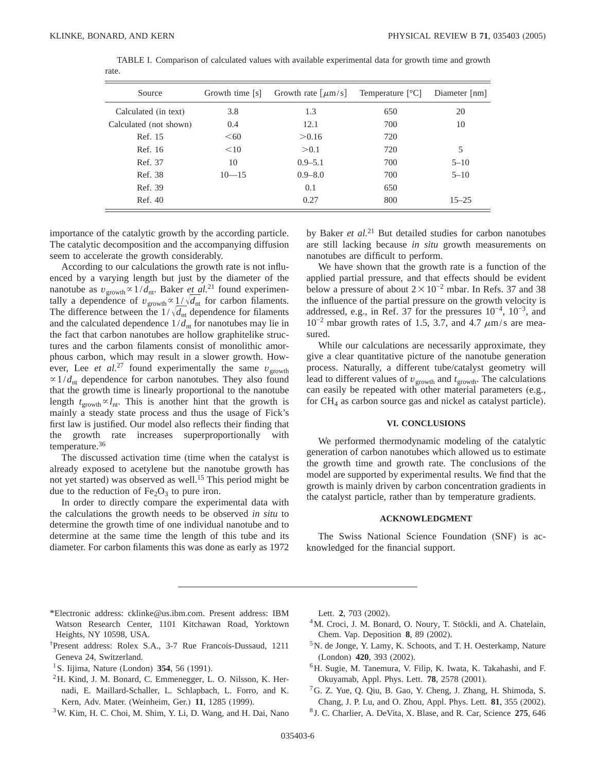| Source                 | Growth time $[s]$ | Growth rate $\lceil \mu m/s \rceil$ | Temperature $[^{\circ}C]$ | Diameter [nm] |
|------------------------|-------------------|-------------------------------------|---------------------------|---------------|
| Calculated (in text)   | 3.8               | 1.3                                 | 650                       | 20            |
| Calculated (not shown) | 0.4               | 12.1                                | 700                       | 10            |
| Ref. 15                | < 60              | > 0.16                              | 720                       |               |
| Ref. 16                | <10               | > 0.1                               | 720                       | 5             |
| Ref. 37                | 10                | $0.9 - 5.1$                         | 700                       | $5 - 10$      |
| Ref. 38                | $10 - 15$         | $0.9 - 8.0$                         | 700                       | $5 - 10$      |
| Ref. 39                |                   | 0.1                                 | 650                       |               |
| Ref. 40                |                   | 0.27                                | 800                       | $15 - 25$     |

TABLE I. Comparison of calculated values with available experimental data for growth time and growth rate.

importance of the catalytic growth by the according particle. The catalytic decomposition and the accompanying diffusion seem to accelerate the growth considerably.

According to our calculations the growth rate is not influenced by a varying length but just by the diameter of the nanotube as  $v_{\text{growth}} \propto 1/d_{\text{nt}}$ . Baker *et al.*<sup>21</sup> found experimentally a dependence of  $v_{\text{growth}} \propto \frac{1}{\sqrt{d_{\text{nt}}}}$  for carbon filaments. The difference between the  $1/\sqrt{d_{\text{nt}}}$  dependence for filaments and the calculated dependence  $1/d<sub>nt</sub>$  for nanotubes may lie in the fact that carbon nanotubes are hollow graphitelike structures and the carbon filaments consist of monolithic amorphous carbon, which may result in a slower growth. However, Lee *et al.*<sup>27</sup> found experimentally the same  $v_{\text{growth}}$  $\propto$  1/ $d_{\rm nt}$  dependence for carbon nanotubes. They also found that the growth time is linearly proportional to the nanotube length  $t_{\text{growth}} \propto l_{\text{nt}}$ . This is another hint that the growth is mainly a steady state process and thus the usage of Fick's first law is justified. Our model also reflects their finding that the growth rate increases superproportionally with temperature.36

The discussed activation time (time when the catalyst is already exposed to acetylene but the nanotube growth has not yet started) was observed as well.<sup>15</sup> This period might be due to the reduction of  $Fe<sub>2</sub>O<sub>3</sub>$  to pure iron.

In order to directly compare the experimental data with the calculations the growth needs to be observed *in situ* to determine the growth time of one individual nanotube and to determine at the same time the length of this tube and its diameter. For carbon filaments this was done as early as 1972 by Baker *et al.*<sup>21</sup> But detailed studies for carbon nanotubes are still lacking because *in situ* growth measurements on nanotubes are difficult to perform.

We have shown that the growth rate is a function of the applied partial pressure, and that effects should be evident below a pressure of about  $2 \times 10^{-2}$  mbar. In Refs. 37 and 38 the influence of the partial pressure on the growth velocity is addressed, e.g., in Ref. 37 for the pressures  $10^{-4}$ ,  $10^{-3}$ , and  $10^{-2}$  mbar growth rates of 1.5, 3.7, and 4.7  $\mu$ m/s are measured.

While our calculations are necessarily approximate, they give a clear quantitative picture of the nanotube generation process. Naturally, a different tube/catalyst geometry will lead to different values of  $v_{\text{growth}}$  and  $t_{\text{growth}}$ . The calculations can easily be repeated with other material parameters (e.g., for  $CH<sub>4</sub>$  as carbon source gas and nickel as catalyst particle).

## **VI. CONCLUSIONS**

We performed thermodynamic modeling of the catalytic generation of carbon nanotubes which allowed us to estimate the growth time and growth rate. The conclusions of the model are supported by experimental results. We find that the growth is mainly driven by carbon concentration gradients in the catalyst particle, rather than by temperature gradients.

### **ACKNOWLEDGMENT**

The Swiss National Science Foundation (SNF) is acknowledged for the financial support.

- \*Electronic address: cklinke@us.ibm.com. Present address: IBM Watson Research Center, 1101 Kitchawan Road, Yorktown Heights, NY 10598, USA.
- †Present address: Rolex S.A., 3-7 Rue Francois-Dussaud, 1211 Geneva 24, Switzerland.
- 1S. Iijima, Nature (London) **354**, 56 (1991).
- 2H. Kind, J. M. Bonard, C. Emmenegger, L. O. Nilsson, K. Hernadi, E. Maillard-Schaller, L. Schlapbach, L. Forro, and K. Kern, Adv. Mater. (Weinheim, Ger.) **11**, 1285 (1999).
- 3W. Kim, H. C. Choi, M. Shim, Y. Li, D. Wang, and H. Dai, Nano

Lett. **2**, 703 (2002).

- <sup>4</sup>M. Croci, J. M. Bonard, O. Noury, T. Stöckli, and A. Chatelain, Chem. Vap. Deposition **8**, 89 (2002).
- <sup>5</sup>N. de Jonge, Y. Lamy, K. Schoots, and T. H. Oesterkamp, Nature (London) **420**, 393 (2002).
- 6H. Sugie, M. Tanemura, V. Filip, K. Iwata, K. Takahashi, and F. Okuyamab, Appl. Phys. Lett. **78**, 2578 (2001).
- 7G. Z. Yue, Q. Qiu, B. Gao, Y. Cheng, J. Zhang, H. Shimoda, S. Chang, J. P. Lu, and O. Zhou, Appl. Phys. Lett. **81**, 355 (2002).
- <sup>8</sup> J. C. Charlier, A. DeVita, X. Blase, and R. Car, Science **275**, 646